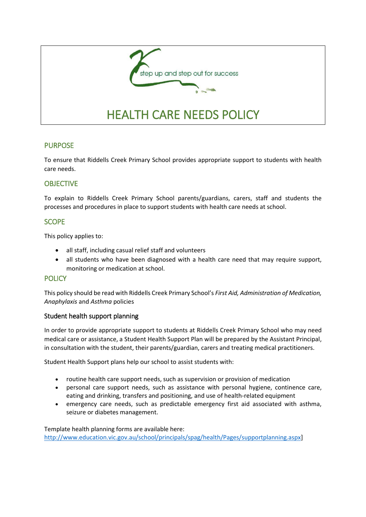

To ensure that Riddells Creek Primary School provides appropriate support to students with health care needs.

## **OBJECTIVE**

PURPOSE

To explain to Riddells Creek Primary School parents/guardians, carers, staff and students the processes and procedures in place to support students with health care needs at school.

### **SCOPE**

This policy applies to:

- all staff, including casual relief staff and volunteers
- all students who have been diagnosed with a health care need that may require support, monitoring or medication at school.

## **POLICY**

This policy should be read with Riddells Creek Primary School's *First Aid, Administration of Medication, Anaphylaxis* and *Asthma* policies

### Student health support planning

In order to provide appropriate support to students at Riddells Creek Primary School who may need medical care or assistance, a Student Health Support Plan will be prepared by the Assistant Principal, in consultation with the student, their parents/guardian, carers and treating medical practitioners.

Student Health Support plans help our school to assist students with:

- routine health care support needs, such as supervision or provision of medication
- personal care support needs, such as assistance with personal hygiene, continence care, eating and drinking, transfers and positioning, and use of health-related equipment
- emergency care needs, such as predictable emergency first aid associated with asthma, seizure or diabetes management.

Template health planning forms are available here: [http://www.education.vic.gov.au/school/principals/spag/health/Pages/supportplanning.aspx\]](http://www.education.vic.gov.au/school/principals/spag/health/Pages/supportplanning.aspx)